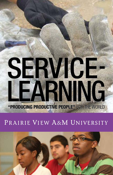# Service Service LEARNING

### **"Producing Productive People"** for the World **"Producing Productive People"** for the World

### PRAIRIE VIEW A&M UNIVERSITY

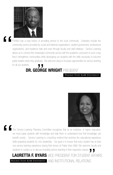

 $\begin{array}{c}\n\bullet \\
\bullet \\
\bullet \\
\bullet \\
\bullet \\
\bullet \\
\bullet \\
\bullet \\
\bullet\n\end{array}$ PVAMU has a long history of providing service to the local community. Examples include the community service provided by social and fraternal organizations, student government, professional organizations, and residence halls and even through faculty and staff initiatives. Service-Learning allows us to connect this meaningful community service with the academic curriculum in such a way that it strengthens communities while developing our students with the skills necessary to become public leaders when they graduate. We welcome ideas to increase opportunities for service-learning for all our students.

### **Dr. George Wright** President

PRAIRIE VIEW A&M UNIVERSITY



" The Service-Learning Planning Committee recognizes that as an institution of higher education, we must equip students with knowledge and help them to understand how that knowledge can benefit society. Service-Learning is a teaching method that enriches the educational experience while preparing students for civic leadership. Our goal is to ensure that every student has at least one service-learning experience during their tenure at Prairie View A&M. We welcome faculty and students to contact us to discuss including service-learning in their respective classes.

### **Lauretta F. Byars** Vice President for Student Affairs PRAIRIE VIEW A&M UNIVERSITY AND INSTITUTIONAL RELATIONS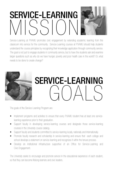### Service-Learning MISSION



Service-Learning at PVAMU promotes civic engagement by extending academic learning from the classroom into service for the community. Service-Learning courses at PVAMU should help students understand the course principles by recognizing their knowledge application through community service. The goal is not just to engage students in community service, but to have the students ask and examine larger questions such as why do we have hunger, poverty and poor health care in the world? Or, what needs to be done to create change?



### Service-Learning GOALS

The goals of the Service-Learning Program are:

- Implement programs and activities to ensure that every PVAMU student has at least one servicelearning experience prior to their graduation.
- Support faculty in developing service-learning courses and designate those service-learning courses in the University course catalog.
- Support faculty and students committed to service-learning locally, nationally and internationally.
- Promote faculty research and scholarship in service-learning and ensure that each college and school develops a statement on service-learning and recognizes it within the tenure process.
- Develop an institutional infrastructure supportive of an Office for Service-Learning and Civic Engagement.

The University seeks to encourage and promote service in the educational experience of each student, so that they can become lifelong learners and civic leaders.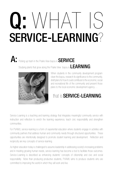## $Q: VVH \rightarrow V$ Service-Learning?

### A: Picking up trash in the Prairie View bayou is **SERVICE**. Studying plants that grow along the Prairie View bayou is  $LEARNING$ .



When students in the community development program clean the bayou, research its significance to the community, draft plans for how it could contribute to the economic, social and recreational life of the community and present those plans to the local economic development agency…

### that is **SERVICE-LEARNING**.

Service-Learning is a teaching and learning strategy that integrates meaningful community service with instruction and reflection to enrich the learning experience, teach civic responsibility and strengthen communities.

For PVAMU, service-learning is a form of experiential education where students engage in activities with community partners that address human and community needs through structured opportunities. These opportunities are intentionally designed to promote student learning and development. Reflection and reciprocity are key concepts of service-learning.

As higher education today is challenged to assume leadership in addressing society's increasing problems and in meeting growing human needs, service-learning has become a tool to facilitate those outcomes. Service-Learning is described as enhancing students' concepts of citizenship and civic and social responsibility. More than producing productive students, PVAMU aims to produce students who are committed to improving the world in which they will work and live.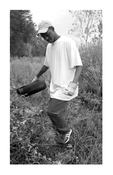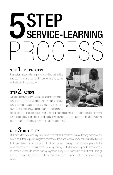## **5STEP** Service-Learning PROCESS

### $S$ TEP  $1$  · PREPARATION

Preparation includes planning service activities and making sure each faculty member, student and community partner understands what is expected.



Action is the service activity. Meaningful action means that the service is necessary and valuable to the community. Effective service-learning projects should challenge and stretch the students, both cognitively and intellectually. The action should



include the tasks to be completed, when it should be completed and the person responsible for making sure it is complete. There should also be clear links between the service activity and the objectives of the course. Students should have a sense of ownership in the project.

### STEP  $3$ : REFLECTION

Reflection offers the opportunity for students to critically think about their service-learning experience and how to apply their respective insights to broader academic and social contexts. Whether related directly to discipline-based course material or not, reflection can occur through individual and/or group reflection or via oral and written communication, such as journaling. Reflection activities provide opportunities to link academic work with service-learning projects in a way that is personal to each student. Through reflection, students discuss and consider their values, ideals and opinions related to the service-learning action.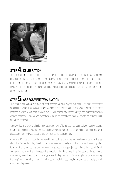

### STEP 4: CELEBRATION

This step recognizes the contributions made by the students, faculty and community agencies, and provides closure to the service-learning activity. Recognition helps the partners feel good about their accomplishments. Students are much more likely to stay involved if they feel good about their involvement. The celebration may include students sharing their reflections with one another or with the community partner.

### STEP  $5$ : ASSESSMENT/EVALUATION

This area is concerned with both student assessment and project evaluation. Student assessment addresses how faculty will assess student learning to ensure that learning objectives are met. Assessment methods may include student program evaluations, community partner surveys and personal meetings with stakeholders. Pre and post examinations could be constructed to show how much students learn during the semester.

A service-learning class evaluation may take a number of forms such as tests, quizzes, essays, papers, reports, oral presentations, portfolios (of the service performed), reflection journals, e-journals, threadeddiscussions, focused web-based chats, exhibits, demonstrations, etc.

Assessment/Evaluation should be integrated throughout the process rather than be considered as the last step. The Service-Learning Planning Committee asks each faculty administering a service-learning class to assess the student learning and document the service-learning project by including the student, faculty and agency representative in the respective evaluation. In addition to gaining feedback on the success of your events, you will also obtain many suggestions for improvement. Please supply the Service-Learning Planning Committee with a copy of all service-learning activities, course syllabi and evaluation results for each service-learning course.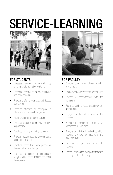### Service-Learning



### for Students

- Increases relevancy of education by bringing academic instruction to life
- Enhances learning of values, citizenship and leadership skills
- Provides platforms to analyze and discuss civic values
- • Prepares students to participate in internships and research programs
- Allows exploration of career options
- Creates a sense of community and civic responsibility
- Develops contacts within the community
- • Provides opportunities to accommodate different learning styles
- • Develops connections with people of diverse cultures and lifestyles
- Produces a sense of self-efficacy, analytical skills, critical thinking and social development



### FOR FACULTY

- Provides open, more diverse learning environments
- • Opens avenues for research opportunities
- Provides a connectedness with the community
- • Facilitates teaching, research and program development
- Engages faculty and students in the community
- Assists in the development of innovative approaches to instruction
- Provides an additional method by which students are able to understand the course content
- **Facilitates** stronger relationship with students
- Service-Learning faculty report satisfaction in quality of student learning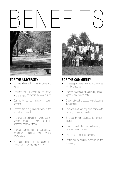# BENEFITS



### for the University

- Furthers attainment of mission, goals and values
- Positions the University as an active and engaged partner in the community
- Community service increases student retention
- Enriches the quality and relevancy of the education provided
- Improves the University's awareness of societal issues as they relate to academic areas of interest
- Provides opportunities for collaborative community research and project development
- Enhances opportunities to extend the University's knowledge and resources



### for the Community

- Increases positive relationship opportunities with the University
- Provides awareness of community issues, agencies and constituents
- Creates affordable access to professional development
- Develops short and long term solutions to pressing community needs
- Enhances human resources for problem solving
- • Opens opportunities for participating in the educational process
- **Enriches roles for site-supervisors**
- Contributes to positive exposure in the community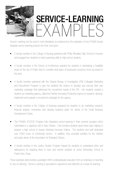

### Service-Learning  $\wedge \wedge \wedge$

Service-Learning can be used in most disciplines as evidenced by the examples of how PVAMU faculty integrate service-learning projects into their curriculum:

- A faculty member in the College of Nursing partnered with Phillis Wheatley High School in Houston and engaged her students to teach parenting skills to high school students.
- A faculty member in the School of Architecture assisted his students in developing a feasibility study for the city of Prairie View to consider what types of businesses would be most successful in the area.
- A faculty member partnered with the Federal Bureau of Investigation (FBI) Collegiate Marketing and Recruitment Program to give her students the chance to develop and execute their own marketing campaign that addressed the recruitment needs of the FBI. Her students created a student-run marketing agency, called the Panther Innovative Productive Agency to research, develop, implement and evaluate a recruitment campaign for the agency.
- A faculty member in the College of Business prepared his students to do marketing research, financial analysis, inventories and develop business plans for clients of the Small Business Development Center.
- The PVAMU ACCESS Program fully integrated service-learning in their summer program which culminated in a capstone visit to New Orleans. One hundred students spent three days helping to prepare a high school to reopen following hurricane Katrina. The students and staff dedicated over 2000 hours of community service. In addition, they provided activities for the children and adult clients of the Association for Retarded Citizens.
- A faculty member in the Justice Studies Program helped his students to understand crime and delinquency by requiring them to tutor and mentor students at Jones Elementary School in Prairie View, Texas.

These examples demonstrate a paradigm shift in undergraduate education from an emphasis on teaching to one on learning. Service-Learning is grounded in experience and reflection as a basis for learning.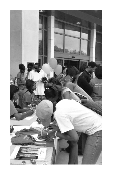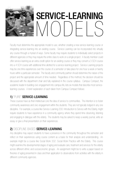

Faculty must determine the appropriate model to use; whether creating a new service-learning course or integrating service-learning into an existing course. Service-Learning can be incorporated into virtually any course through a myriad of ways. Some faculty may require students to individually select projects in different agencies or they may require the entire class to work on a single project. A faculty member could offer service-learning as an extra-credit option for an existing course or they may convert a 3 SCH course into a 4 SCH course with additional time allotted for a service-learning project. Service-Learning projects may be one time experiences over the course of a semester or take place for one hour a week or twenty hours within a particular semester. The faculty and community partner should determine the nature of the project and the appropriate amount of time needed. Regardless of the method, the decision should be discussed with the department chair and fully explained in the course syllabus. Campus Compact, the academic leader in building civic engagement into campus life, lists six models that describe most servicelearning courses. A brief explanation of each taken from Campus Compact follows:

### 1) "Pure" Service-Learning

These courses have as their intellectual core the idea of service to communities. The intention is to foster community awareness and civic engagement within the students. They are not typically lodged in any one discipline. For example, a course like Service-Learning 200: Introduction to Service with the Elderly, might require students to have experience in a community agency where they spend time observing, listening and engaging in dialogue with the elderly. The students may be asked to keep a weekly journal, write an essay or give a final presentation on their experiences.

### 2) Discipline-Based Service-Learning

Any discipline may expect students to have a presence in the community throughout the semester and reflect on their experiences using course content as a basis for their analysis and understanding. An example might be a course like Social Work 332: Social Work Practice with the Elderly. This course might examine the developmental stages of aging and evaluate care, treatment and services for the elderly across different ethnic and socioeconomic groups. An assignment might be to write a paper based on theories of aging presented in class and their application to observations from activities with the elderly in different community agencies.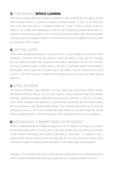### 3) Problem-Based Service-Learning

In this model, generally upper level students are presumed to have knowledge they can apply to working with community members to understand a particular community problem or need. In this sense, they relate to the community much as "consultants" working for a "client" in trying to develop solutions to problems. For example, after participating in a local town hall meeting where residents identify their most important community needs, students in the Community Development Program might spend the semester collecting research and designing solutions for a linear park in response to the identified community needs as a culmination of their research.

### 4) CAPSTONE COURSE

These courses are generally designed for majors and minors in a given discipline and are offered almost exclusively to students in their final year. Capstone courses ask students to draw upon the knowledge they have obtained throughout their coursework and combine it with relevant service in the community. The goal of a capstone course is to either explore a new topic or to synthesize students' understanding of their discipline. These courses offer an excellent way to help students make the transition from the world of theory to the world of practice by helping them establish professional contacts and gather personal experience.

### **5) SERVICE INTERNSHIP**

Like traditional internships, these experiences are more intense than typical service-learning courses, with students working as many as 10 to 20 hours a week in a single community setting. As in traditional internships, students are generally charged with producing a body of work that is of value to the community or site. Service internships have regular and on-going reflective opportunities that help students analyze their new experiences using discipline-based theories. These reflective opportunities can be done with small groups of peers, in one-on-one meetings with faculty advisors, or even electronically with a faculty member providing feedback. Service internships are further distinguished by their focus on reciprocity.

### 6) Undergraduate Community-Based Action Research

Similar to independent study, this relatively new approach is for the student or a small group of students, who are highly experienced in community work. In this model, students work closely with faculty members to learn research methodology while serving as advocates for communities. An example of such a research project might be students and faculty working with the local school board and Hispanic council to determine strategies for improving parent participation in their child's public school experience.

Regardless of the model the faculty selects, service-learning activities enhance the community through the service provided and build powerful learning consequences for the students providing the service.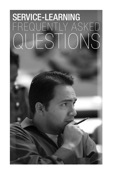### Service-Learning frequently asked STIONS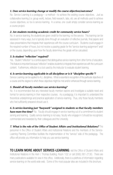#### *1. Does service-learning change or modify the course objectives/outcomes?*

No. Service-Learning is a pedagogy—a method—to achieve the existing course objectives. Just as collaborative learning (i.e. group work), lecture, field research, labs, etc. are all methods used to achieve course objectives, so too is service-learning. In a sense, one could simply consider service-learning as a course project.

#### *2. Are students receiving academic credit for community service hours?*

No. In service-learning, the students are given credit for the learning, not the service. This learning can be assessed in many ways, but is typically done through an evaluation of reflective journals, final papers and class presentations that integrate their experiences with the course curriculum. Students could engage in the required number of hours, but not receive a passing grade for the "service-learning assignment" and/ or the course, depending upon how the faculty determines the grade will be calculated.

#### *3. Is student "reflection" required?*

Yes. Student "reflection" is a central aspect that distinguishes service-learning from other forms of education. This feature is important because "reflection" enables students to integrate their experiences with the curriculum content. Furthermore, reflection is a tool used by the instructor to evaluate student learning.

#### *4. Is service-learning applicable in all disciplines or is it "discipline specific"?*

Service-Learning can be applied to ALL disciplines. What is essential is recognition of the particular objectives of a course and the degree to which these objectives might be met and/or enhanced through service-learning.

#### *5. Should all faculty members use service-learning?*

No. It is recommended that any interested faculty member explore and investigate a suitable need and format for service-learning in their respective courses. As a pedagogy, it is important to understand the theoretical underpinnings and practical application of service-learning. Thus, only those faculty members who feel sufficiently prepared should use it.

#### *6. Is service-learning just "busywork" assigned to students so that faculty members*

**have more free time?** No. Faculty should engage in service-learning out of a commitment to student serving and learning. Quality service-learning is not easy; faculty who engage in it should be recognized, commended and rewarded by their colleagues and the University.

*7. What is the role of the Office of Student Affairs and Institutional Relations?* The personnel in the Office of Student Affairs and Institutional Relations and the members of the Service-Learning Planning Committee facilitate the implementation of the "service" side of the pedagogy. The office will provide you information to help you use service-learning.

**TO LEARN MORE ABOUT SERVICE-LEARNING**, visit the Office of Student Affairs and Institutional Relations in the Alvin I. Thomas Building, Room 102 or call (936) 261-2130. There are many publications available for view in this office. Additionally, there is a plethora of information regarding service-learning on the world wide web. Some of the most popular sites are included in this brochure.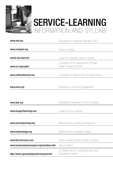

### Service-Learning Information and Syllabi

| www.aee.org                               | Association for Experiential Education (AEE)                          |
|-------------------------------------------|-----------------------------------------------------------------------|
| www.compact.org                           | Campus Compact                                                        |
|                                           |                                                                       |
| www2.uta.edu/ccsl                         | Center for Community Service Learning                                 |
| www.cic.org/caphe                         | Consortium for the Advancement of Private<br>Higher Education (CAPHE) |
| www.nationalservice.org                   | Corporation for National and Community Service                        |
|                                           |                                                                       |
| www.e4ce.org                              | <b>Educators for Community Engagement</b>                             |
|                                           |                                                                       |
| www.ipsl.org                              | International Partnership for Service-Learning                        |
| www.isupportlearning.com                  | I support Service-Learning                                            |
|                                           |                                                                       |
| www.servicelearning.org                   | National Service-Learning Clearinghouse                               |
| www.nslexchange.org                       | National Service-Learning Exchange                                    |
|                                           |                                                                       |
| www.ServiceLearn.com                      | Service-Learning Student Guides & Journal                             |
| www.texascampuscompact.org/members.htm    | <b>Texas Compact</b>                                                  |
| http://www-gse.berkeley.edu/research/slc/ | UC Berkley Service-Learning Research and<br>Development Center        |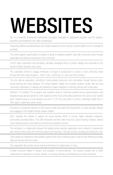# websites

AEE is a nonprofit, professional membership association dedicated to experiential education and the students, educators and practitioners who utilize its philosophy.

Frequently publishes and disseminates new research related to service-learning. Provides syllabi for over 50 disciplines and fields.

This center supports opportunities for students & faculty to integrate academic study with community service through responsible and reflective involvement in the community.

CAPHE helps corporations and foundations stimulate meaningful reform in private colleges and universities for the benefit of higher education and society.

This corporation formed to engage Americans of all ages & backgrounds in service to meet community needs through their three major programs: Senior Corps, AmeriCorps, & Learn and Serve America.

The only national organization committed to democratizing classrooms and communities through learning circles, service-learning and critical dialogue. ECE brings together college and university students, faculty, staff and local community organizations to develop and implement creative strategies for teaching, learning and social justice.

Offered in 14 countries, IPSL programs unite academic study for credit and volunteer service, giving students a fully integrated study abroad experience. Both students and the host communities benefit from the service each student gives. Students study at a local university and serve 15-20 hours per week in a school, orphanage, health clinic or other agency addressing human needs.

Its mission is to empower educators in their quest to create and support life-long learners, to make education relevant and engaging for the student through creative software.

NSLC operates this website to support the service-learning efforts of schools, higher education institutions, communities and tribal nations. They offer information and free online resources, service-learning materials, national service-learning listservs and reference and technical assistance services.

This exchange is a collaboration between five leading service-learning organizations and a network of experienced peer mentors that provides free technical support and mentoring. They also provide consulting and training for a fee.

These guides are designed to help students organize their service-learning projects, improve their thinking and writing skills and improve their test scores.

This organization lists specific service-learning information for academicians in Texas.

Provides resources related to research and evaluation of service-learning. The research activities aim to better understand the implications of service activities on teaching, learning, and identifying issue areas and trends.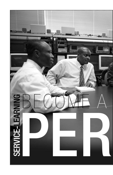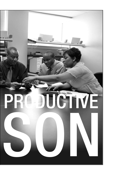